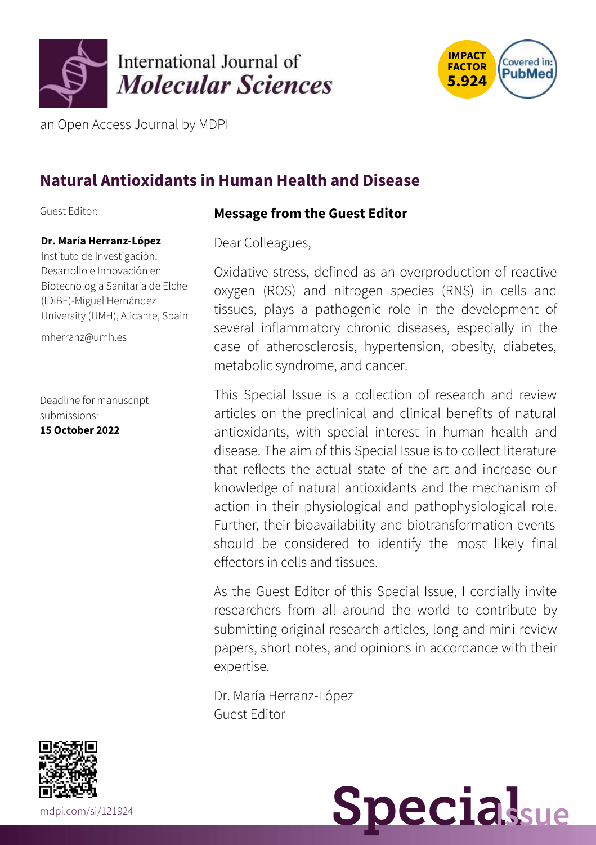



an Open Access Journal by MDPI

## **Natural Antioxidants in Human Health and Disease**

Guest Editor:

### **Dr. María Herranz-López**

Instituto de Investigación, Desarrollo e Innovación en Biotecnología Sanitaria de Elche (IDiBE)-Miguel Hernández University (UMH), Alicante, Spain

[mherranz@umh.es](mailto:mherranz@umh.es)

Deadline for manuscript submissions: **15 October 2022**

### **Message from the Guest Editor**

Dear Colleagues,

Oxidative stress, defined as an overproduction of reactive oxygen (ROS) and nitrogen species (RNS) in cells and tissues, plays a pathogenic role in the development of several inflammatory chronic diseases, especially in the case of atherosclerosis, hypertension, obesity, diabetes, metabolic syndrome, and cancer.

This Special Issue is a collection of research and review articles on the preclinical and clinical benefits of natural antioxidants, with special interest in human health and disease. The aim of this Special Issue is to collect literature that reflects the actual state of the art and increase our knowledge of natural antioxidants and the mechanism of action in their physiological and pathophysiological role. Further, their bioavailability and biotransformation events should be considered to identify the most likely final effectors in cells and tissues.

As the Guest Editor of this Special Issue, I cordially invite researchers from all around the world to contribute by submitting original research articles, long and mini review papers, short notes, and opinions in accordance with their expertise.

Dr. María Herranz-López Guest Editor